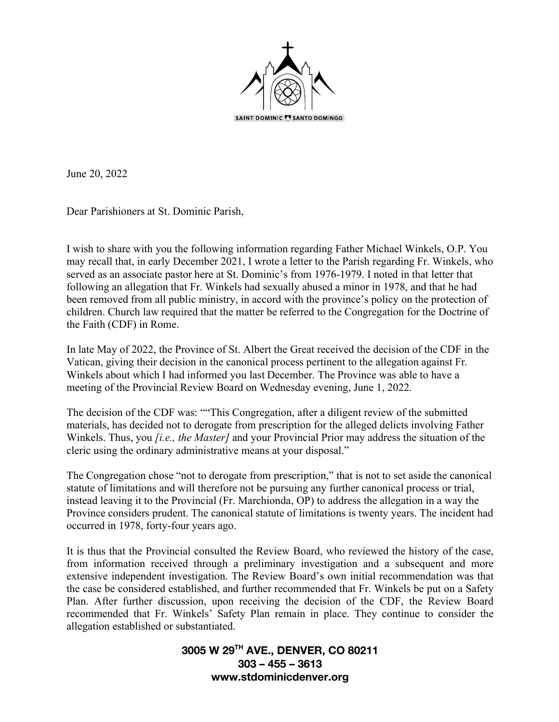

June 20, 2022

Dear Parishioners at St. Dominic Parish,

I wish to share with you the following information regarding Father Michael Winkels, O.P. You may recall that, in early December 2021, I wrote a letter to the Parish regarding Fr. Winkels, who served as an associate pastor here at St. Dominic's from 1976-1979. I noted in that letter that following an allegation that Fr. Winkels had sexually abused a minor in 1978, and that he had been removed from all public ministry, in accord with the province's policy on the protection of children. Church law required that the matter be referred to the Congregation for the Doctrine of the Faith (CDF) in Rome.

In late May of 2022, the Province of St. Albert the Great received the decision of the CDF in the Vatican, giving their decision in the canonical process pertinent to the allegation against Fr. Winkels about which I had informed you last December. The Province was able to have a meeting of the Provincial Review Board on Wednesday evening, June 1, 2022.

The decision of the CDF was: ""This Congregation, after a diligent review of the submitted materials, has decided not to derogate from prescription for the alleged delicts involving Father Winkels. Thus, you *[i.e., the Master]* and your Provincial Prior may address the situation of the cleric using the ordinary administrative means at your disposal."

The Congregation chose "not to derogate from prescription," that is not to set aside the canonical statute of limitations and will therefore not be pursuing any further canonical process or trial, instead leaving it to the Provincial (Fr. Marchionda, OP) to address the allegation in a way the Province considers prudent. The canonical statute of limitations is twenty years. The incident had occurred in 1978, forty-four years ago.

It is thus that the Provincial consulted the Review Board, who reviewed the history of the case, from information received through a preliminary investigation and a subsequent and more extensive independent investigation. The Review Board's own initial recommendation was that the case be considered established, and further recommended that Fr. Winkels be put on a Safety Plan. After further discussion, upon receiving the decision of the CDF, the Review Board recommended that Fr. Winkels' Safety Plan remain in place. They continue to consider the allegation established or substantiated.

## **3005 W 29TH AVE., DENVER, CO 80211 303 – 455 – 3613 www.stdominicdenver.org**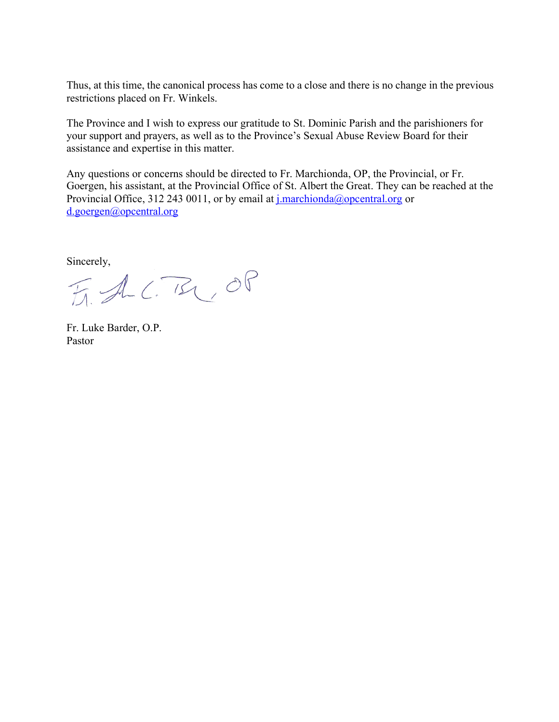Thus, at this time, the canonical process has come to a close and there is no change in the previous restrictions placed on Fr. Winkels.

The Province and I wish to express our gratitude to St. Dominic Parish and the parishioners for your support and prayers, as well as to the Province's Sexual Abuse Review Board for their assistance and expertise in this matter.

Any questions or concerns should be directed to Fr. Marchionda, OP, the Provincial, or Fr. Goergen, his assistant, at the Provincial Office of St. Albert the Great. They can be reached at the Provincial Office, 312 243 0011, or by email at  $j$ . marchionda@opcentral.org or d.goergen@opcentral.org

Sincerely,

F. A.C. BUOF

Fr. Luke Barder, O.P. Pastor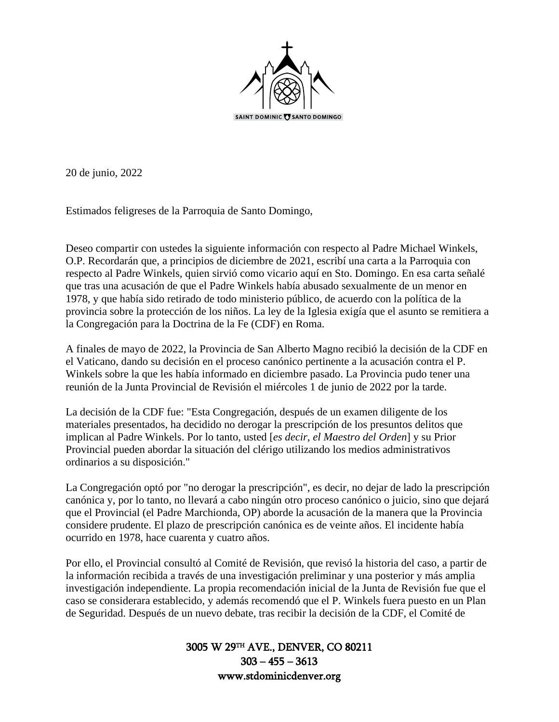

20 de junio, 2022

Estimados feligreses de la Parroquia de Santo Domingo,

Deseo compartir con ustedes la siguiente información con respecto al Padre Michael Winkels, O.P. Recordarán que, a principios de diciembre de 2021, escribí una carta a la Parroquia con respecto al Padre Winkels, quien sirvió como vicario aquí en Sto. Domingo. En esa carta señalé que tras una acusación de que el Padre Winkels había abusado sexualmente de un menor en 1978, y que había sido retirado de todo ministerio público, de acuerdo con la política de la provincia sobre la protección de los niños. La ley de la Iglesia exigía que el asunto se remitiera a la Congregación para la Doctrina de la Fe (CDF) en Roma.

A finales de mayo de 2022, la Provincia de San Alberto Magno recibió la decisión de la CDF en el Vaticano, dando su decisión en el proceso canónico pertinente a la acusación contra el P. Winkels sobre la que les había informado en diciembre pasado. La Provincia pudo tener una reunión de la Junta Provincial de Revisión el miércoles 1 de junio de 2022 por la tarde.

La decisión de la CDF fue: "Esta Congregación, después de un examen diligente de los materiales presentados, ha decidido no derogar la prescripción de los presuntos delitos que implican al Padre Winkels. Por lo tanto, usted [*es decir, el Maestro del Orden*] y su Prior Provincial pueden abordar la situación del clérigo utilizando los medios administrativos ordinarios a su disposición."

La Congregación optó por "no derogar la prescripción", es decir, no dejar de lado la prescripción canónica y, por lo tanto, no llevará a cabo ningún otro proceso canónico o juicio, sino que dejará que el Provincial (el Padre Marchionda, OP) aborde la acusación de la manera que la Provincia considere prudente. El plazo de prescripción canónica es de veinte años. El incidente había ocurrido en 1978, hace cuarenta y cuatro años.

Por ello, el Provincial consultó al Comité de Revisión, que revisó la historia del caso, a partir de la información recibida a través de una investigación preliminar y una posterior y más amplia investigación independiente. La propia recomendación inicial de la Junta de Revisión fue que el caso se considerara establecido, y además recomendó que el P. Winkels fuera puesto en un Plan de Seguridad. Después de un nuevo debate, tras recibir la decisión de la CDF, el Comité de

> 3005 W 29TH AVE., DENVER, CO 80211  $303 - 455 - 3613$ www.stdominicdenver.org